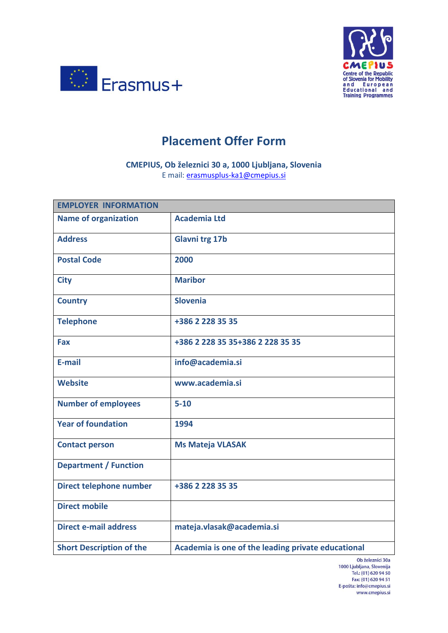



## **Placement Offer Form**

**CMEPIUS, Ob železnici 30 a, 1000 Ljubljana, Slovenia** E mail: [erasmusplus-ka1@cmepius.si](mailto:erasmusplus-ka1@cmepius.si)

| <b>EMPLOYER INFORMATION</b>     |                                                    |
|---------------------------------|----------------------------------------------------|
| <b>Name of organization</b>     | <b>Academia Ltd</b>                                |
| <b>Address</b>                  | <b>Glavni trg 17b</b>                              |
| <b>Postal Code</b>              | 2000                                               |
| <b>City</b>                     | <b>Maribor</b>                                     |
| <b>Country</b>                  | <b>Slovenia</b>                                    |
| <b>Telephone</b>                | +386 2 228 35 35                                   |
| Fax                             | +386 2 228 35 35+386 2 228 35 35                   |
| E-mail                          | info@academia.si                                   |
| <b>Website</b>                  | www.academia.si                                    |
| <b>Number of employees</b>      | $5 - 10$                                           |
| <b>Year of foundation</b>       | 1994                                               |
| <b>Contact person</b>           | <b>Ms Mateja VLASAK</b>                            |
| <b>Department / Function</b>    |                                                    |
| Direct telephone number         | +386 2 228 35 35                                   |
| <b>Direct mobile</b>            |                                                    |
| <b>Direct e-mail address</b>    | mateja.vlasak@academia.si                          |
| <b>Short Description of the</b> | Academia is one of the leading private educational |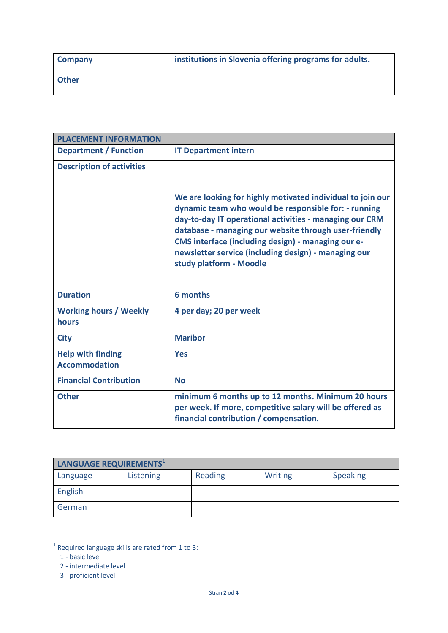| <b>Company</b> | institutions in Slovenia offering programs for adults. |
|----------------|--------------------------------------------------------|
| <b>Other</b>   |                                                        |

| <b>PLACEMENT INFORMATION</b>                     |                                                                                                                                                                                                                                                                                                                                                                                 |
|--------------------------------------------------|---------------------------------------------------------------------------------------------------------------------------------------------------------------------------------------------------------------------------------------------------------------------------------------------------------------------------------------------------------------------------------|
| <b>Department / Function</b>                     | <b>IT Department intern</b>                                                                                                                                                                                                                                                                                                                                                     |
| <b>Description of activities</b>                 | We are looking for highly motivated individual to join our<br>dynamic team who would be responsible for: - running<br>day-to-day IT operational activities - managing our CRM<br>database - managing our website through user-friendly<br>CMS interface (including design) - managing our e-<br>newsletter service (including design) - managing our<br>study platform - Moodle |
| <b>Duration</b>                                  | 6 months                                                                                                                                                                                                                                                                                                                                                                        |
| <b>Working hours / Weekly</b><br>hours           | 4 per day; 20 per week                                                                                                                                                                                                                                                                                                                                                          |
| <b>City</b>                                      | <b>Maribor</b>                                                                                                                                                                                                                                                                                                                                                                  |
| <b>Help with finding</b><br><b>Accommodation</b> | <b>Yes</b>                                                                                                                                                                                                                                                                                                                                                                      |
| <b>Financial Contribution</b>                    | <b>No</b>                                                                                                                                                                                                                                                                                                                                                                       |
| <b>Other</b>                                     | minimum 6 months up to 12 months. Minimum 20 hours<br>per week. If more, competitive salary will be offered as<br>financial contribution / compensation.                                                                                                                                                                                                                        |

| LANGUAGE REQUIREMENTS <sup>1</sup> |           |         |                |                 |
|------------------------------------|-----------|---------|----------------|-----------------|
| Language                           | Listening | Reading | <b>Writing</b> | <b>Speaking</b> |
| English                            |           |         |                |                 |
| German                             |           |         |                |                 |

**The set of the set of the set of the set of the set of the set of the set of the set of the set of the set of the s**<br>In Required language skills are rated from 1 to 3:

 <sup>1 -</sup> basic level

 <sup>2 -</sup> intermediate level

 <sup>3 -</sup> proficient level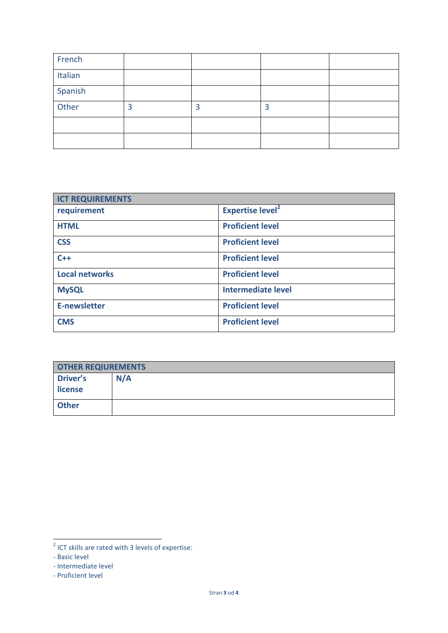| French  |   |   |   |  |
|---------|---|---|---|--|
| Italian |   |   |   |  |
| Spanish |   |   |   |  |
| Other   | 3 | 3 | 3 |  |
|         |   |   |   |  |
|         |   |   |   |  |

| <b>ICT REQUIREMENTS</b> |                                    |
|-------------------------|------------------------------------|
| requirement             | <b>Expertise level<sup>2</sup></b> |
| <b>HTML</b>             | <b>Proficient level</b>            |
| <b>CSS</b>              | <b>Proficient level</b>            |
| $C++$                   | <b>Proficient level</b>            |
| <b>Local networks</b>   | <b>Proficient level</b>            |
| <b>MySQL</b>            | <b>Intermediate level</b>          |
| <b>E-newsletter</b>     | <b>Proficient level</b>            |
| <b>CMS</b>              | <b>Proficient level</b>            |

| <b>OTHER REQIUREMENTS</b> |     |
|---------------------------|-----|
| <b>Driver's</b>           | N/A |
| license                   |     |
| <b>Other</b>              |     |

 $\overline{\phantom{a}}$  ICT skills are rated with 3 levels of expertise:

<sup>-</sup> Basic level

<sup>-</sup> Intermediate level

<sup>-</sup> Proficient level